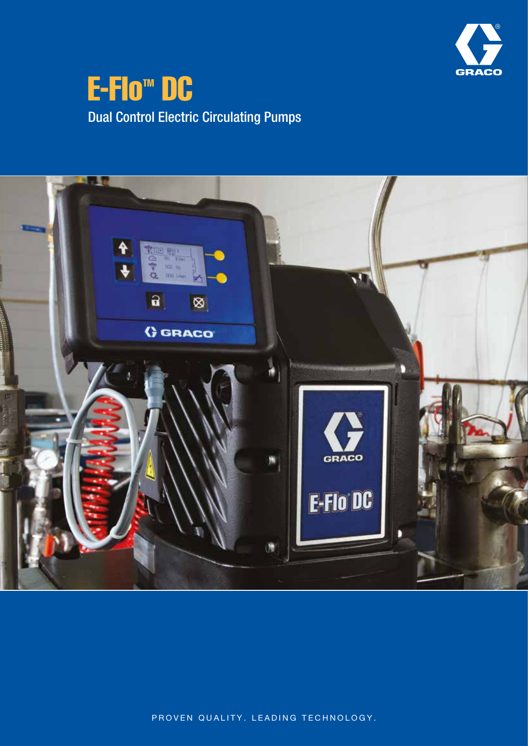

# **E-Flo<sup>™</sup> DC** Dual Control Electric Circulating Pumps



PROVEN QUALITY. LEADING TECHNOLOGY.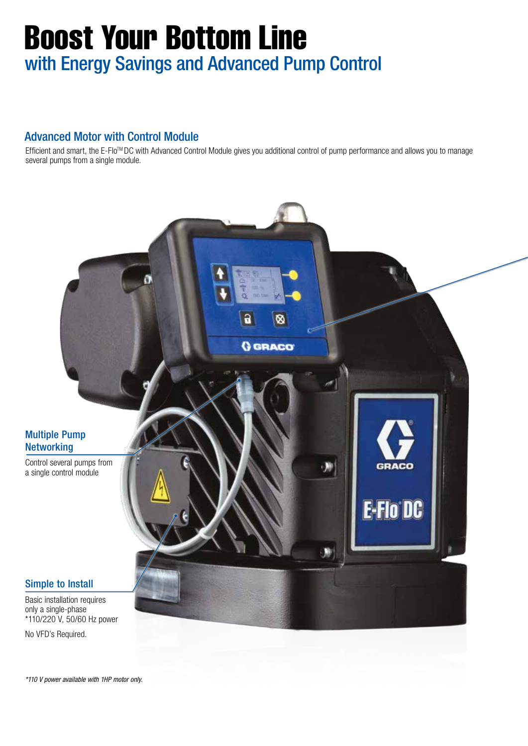# Boost Your Bottom Line with Energy Savings and Advanced Pump Control

### Advanced Motor with Control Module

Efficient and smart, the E-Flo<sup>™</sup>DC with Advanced Control Module gives you additional control of pump performance and allows you to manage several pumps from a single module.



*\*110 V power available with 1HP motor only.*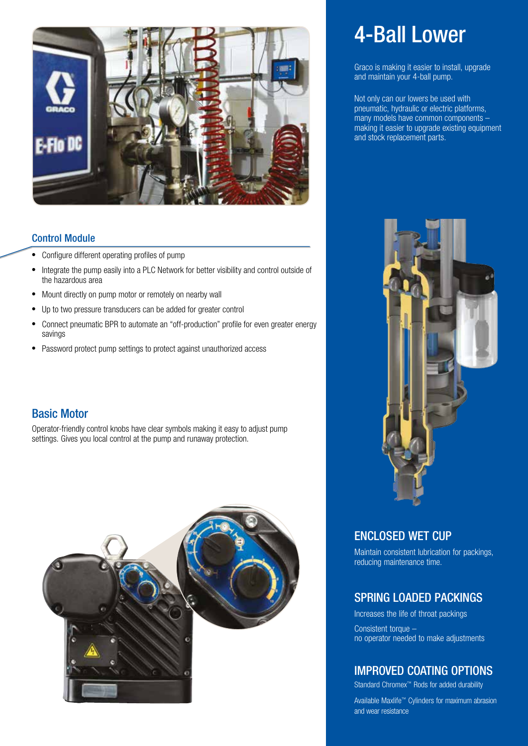

#### Control Module

- Configure different operating profiles of pump
- Integrate the pump easily into a PLC Network for better visibility and control outside of the hazardous area
- Mount directly on pump motor or remotely on nearby wall
- Up to two pressure transducers can be added for greater control
- Connect pneumatic BPR to automate an "off-production" profile for even greater energy savings
- Password protect pump settings to protect against unauthorized access

### Basic Motor

Operator-friendly control knobs have clear symbols making it easy to adjust pump settings. Gives you local control at the pump and runaway protection.



# 4-Ball Lower

Graco is making it easier to install, upgrade and maintain your 4-ball pump.

Not only can our lowers be used with pneumatic, hydraulic or electric platforms, many models have common components – making it easier to upgrade existing equipment and stock replacement parts.



### ENCLOSED WET CUP

Maintain consistent lubrication for packings, reducing maintenance time.

### SPRING LOADED PACKINGS

Increases the life of throat packings Consistent torque – no operator needed to make adjustments

### IMPROVED COATING OPTIONS

Standard Chromex™ Rods for added durability

Available Maxlife™ Cylinders for maximum abrasion and wear resistance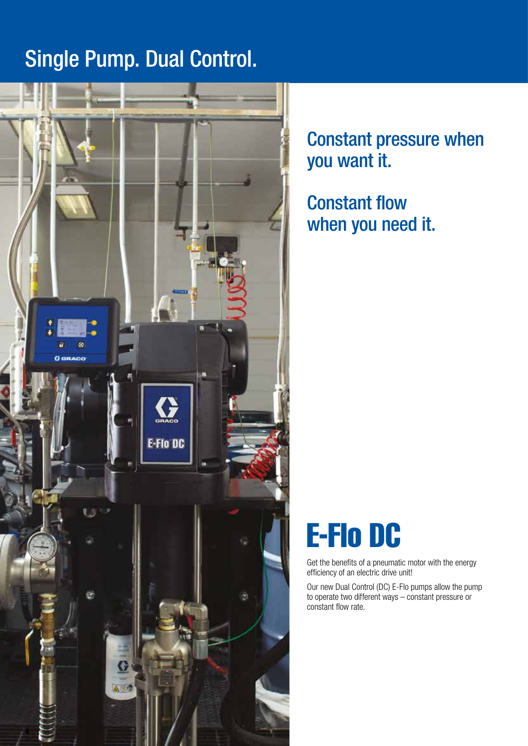# Single Pump. Dual Control.



Constant pressure when you want it.

Constant flow when you need it.



Get the benefits of a pneumatic motor with the energy efficiency of an electric drive unit!

Our new Dual Control (DC) E-Flo pumps allow the pump to operate two different ways – constant pressure or constant flow rate.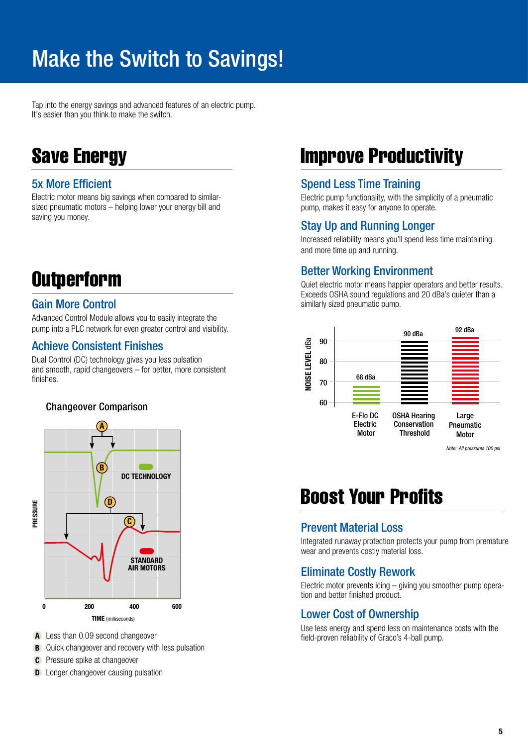# Make the Switch to Savings!

Tap into the energy savings and advanced features of an electric pump. It's easier than you think to make the switch.

## Save Energy

### 5x More Efficient

Electric motor means big savings when compared to similarsized pneumatic motors – helping lower your energy bill and saving you money.

# **Outperform**

### Gain More Control

Advanced Control Module allows you to easily integrate the pump into a PLC network for even greater control and visibility.

### Achieve Consistent Finishes

Dual Control (DC) technology gives you less pulsation and smooth, rapid changeovers – for better, more consistent finishes.

### Changeover Comparison



A Less than 0.09 second changeover

- **B** Quick changeover and recovery with less pulsation
- **C** Pressure spike at changeover
- **D** Longer changeover causing pulsation

## Improve Productivity

### Spend Less Time Training

Electric pump functionality, with the simplicity of a pneumatic pump, makes it easy for anyone to operate.

### Stay Up and Running Longer

Increased reliability means you'll spend less time maintaining and more time up and running.

### Better Working Environment

Quiet electric motor means happier operators and better results. Exceeds OSHA sound regulations and 20 dBa's quieter than a similarly sized pneumatic pump.



### Boost Your Profits

### Prevent Material Loss

Integrated runaway protection protects your pump from premature wear and prevents costly material loss.

### Eliminate Costly Rework

Electric motor prevents icing – giving you smoother pump operation and better finished product.

### Lower Cost of Ownership

Use less energy and spend less on maintenance costs with the field-proven reliability of Graco's 4-ball pump.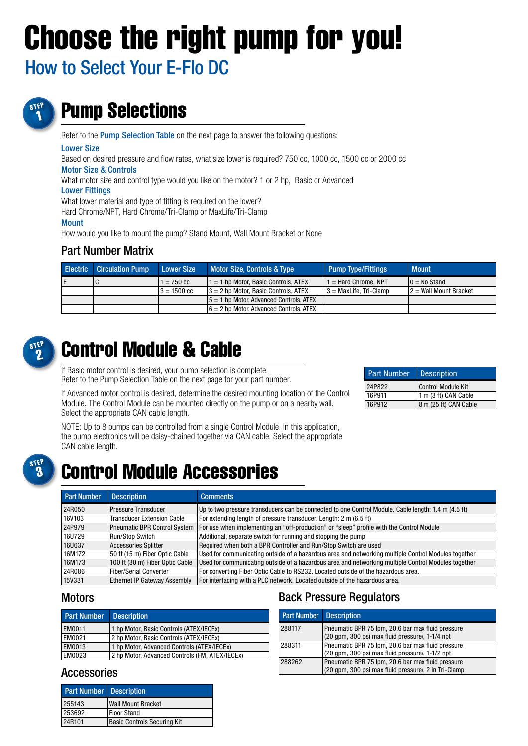# Choose the right pump for you!

How to Select Your E-Flo DC



# Pump Selections

Refer to the Pump Selection Table on the next page to answer the following questions:

#### Lower Size

Based on desired pressure and flow rates, what size lower is required? 750 cc, 1000 cc, 1500 cc or 2000 cc Motor Size & Controls

What motor size and control type would you like on the motor? 1 or 2 hp, Basic or Advanced

#### Lower Fittings

What lower material and type of fitting is required on the lower?

Hard Chrome/NPT, Hard Chrome/Tri-Clamp or MaxLife/Tri-Clamp

#### **Mount**

How would you like to mount the pump? Stand Mount, Wall Mount Bracket or None

### Part Number Matrix

| <b>Electric Circulation Pump</b> | Lower Size            | Motor Size, Controls & Type                | <b>Pump Type/Fittings</b> | <b>Mount</b>             |
|----------------------------------|-----------------------|--------------------------------------------|---------------------------|--------------------------|
|                                  | $1 = 750 \text{ cc}$  | $1 = 1$ hp Motor. Basic Controls. ATEX     | $1 =$ Hard Chrome, NPT    | $0 = No$ Stand           |
|                                  | $3 = 1500 \text{ cc}$ | $3 = 2$ hp Motor. Basic Controls, ATEX     | $3 =$ MaxLife. Tri-Clamp  | $2 =$ Wall Mount Bracket |
|                                  |                       | $15 = 1$ hp Motor. Advanced Controls. ATEX |                           |                          |
|                                  |                       | $6 = 2$ hp Motor. Advanced Controls, ATEX  |                           |                          |



# Control Module & Cable

If Basic motor control is desired, your pump selection is complete. Refer to the Pump Selection Table on the next page for your part number.

If Advanced motor control is desired, determine the desired mounting location of the Control Module. The Control Module can be mounted directly on the pump or on a nearby wall. Select the appropriate CAN cable length.

24P822 Control Module Kit 16P911 1 m (3 ft) CAN Cable 16P912 8 m (25 ft) CAN Cable

Part Number | Description

NOTE: Up to 8 pumps can be controlled from a single Control Module. In this application, the pump electronics will be daisy-chained together via CAN cable. Select the appropriate CAN cable length.



### Control Module Accessories

| <b>Part Number</b> | Description                       | <b>Comments</b>                                                                                     |
|--------------------|-----------------------------------|-----------------------------------------------------------------------------------------------------|
| 24R050             | Pressure Transducer               | Up to two pressure transducers can be connected to one Control Module. Cable length: 1.4 m (4.5 ft) |
| 16V103             | <b>Transducer Extension Cable</b> | For extending length of pressure transducer. Length: 2 m (6.5 ft)                                   |
| 24P979             | Pneumatic BPR Control System      | For use when implementing an "off-production" or "sleep" profile with the Control Module            |
| 16U729             | <b>Run/Stop Switch</b>            | Additional, separate switch for running and stopping the pump                                       |
| 16U637             | <b>Accessories Splitter</b>       | Required when both a BPR Controller and Run/Stop Switch are used                                    |
| 16M172             | 50 ft (15 m) Fiber Optic Cable    | Used for communicating outside of a hazardous area and networking multiple Control Modules together |
| 16M173             | 100 ft (30 m) Fiber Optic Cable   | Used for communicating outside of a hazardous area and networking multiple Control Modules together |
| 24R086             | <b>Fiber/Serial Converter</b>     | For converting Fiber Optic Cable to RS232. Located outside of the hazardous area.                   |
| <b>15V331</b>      | Ethernet IP Gateway Assembly      | For interfacing with a PLC network. Located outside of the hazardous area.                          |

### **Motors**

| <b>Part Number</b> | <b>Description</b>                             |
|--------------------|------------------------------------------------|
| EM0011             | 1 hp Motor, Basic Controls (ATEX/IECEx)        |
| EM0021             | 2 hp Motor, Basic Controls (ATEX/IECEx)        |
| EM0013             | 1 hp Motor, Advanced Controls (ATEX/IECEx)     |
| EM0023             | 2 hp Motor, Advanced Controls (FM, ATEX/IECEx) |

### Accessories

| <b>Part Number Description</b> |                                    |  |  |  |  |
|--------------------------------|------------------------------------|--|--|--|--|
| 255143                         | <b>Wall Mount Bracket</b>          |  |  |  |  |
| 253692                         | Floor Stand                        |  |  |  |  |
| 24R101                         | <b>Basic Controls Securing Kit</b> |  |  |  |  |

### Back Pressure Regulators

| <b>Part Number</b> Description |                                                                                                           |
|--------------------------------|-----------------------------------------------------------------------------------------------------------|
| 288117                         | Pneumatic BPR 75 lpm, 20.6 bar max fluid pressure<br>(20 gpm, 300 psi max fluid pressure), 1-1/4 npt      |
| 288311                         | Pneumatic BPR 75 lpm, 20.6 bar max fluid pressure<br>(20 qpm, 300 psi max fluid pressure), 1-1/2 npt      |
| 288262                         | Pneumatic BPR 75 lpm, 20.6 bar max fluid pressure<br>(20 gpm, 300 psi max fluid pressure), 2 in Tri-Clamp |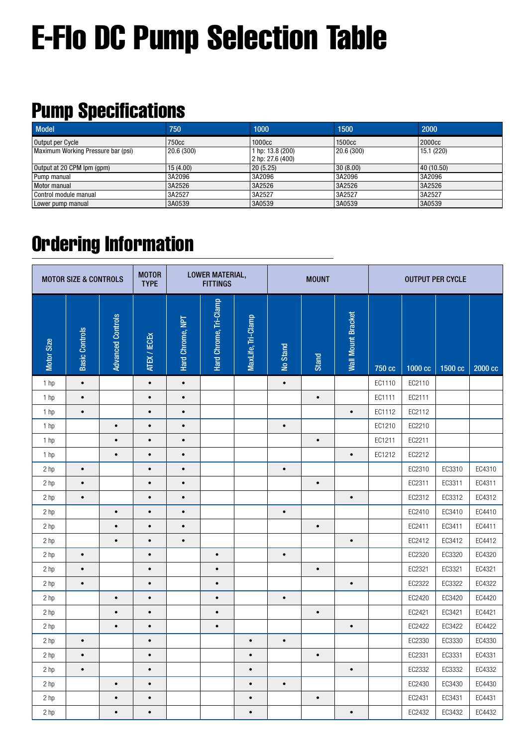# E-Flo DC Pump Selection Table

# Pump Specifications

| <b>Model</b>                       | 750        | 1000                                    | 1500       | 2000               |
|------------------------------------|------------|-----------------------------------------|------------|--------------------|
| Output per Cycle                   | 750cc      | 1000 <sub>cc</sub>                      | 1500cc     | 2000 <sub>cc</sub> |
| Maximum Working Pressure bar (psi) | 20.6 (300) | 1 hp: 13.8 (200)<br>$ 2$ hp: 27.6 (400) | 20.6 (300) | 15.1(220)          |
| Output at 20 CPM lpm (gpm)         | 15(4.00)   | 20(5.25)                                | 30(8.00)   | 40 (10.50)         |
| Pump manual                        | 3A2096     | 3A2096                                  | 3A2096     | 3A2096             |
| Motor manual                       | 3A2526     | 3A2526                                  | 3A2526     | 3A2526             |
| Control module manual              | 3A2527     | 3A2527                                  | 3A2527     | 3A2527             |
| Lower pump manual                  | 3A0539     | 3A0539                                  | 3A0539     | 3A0539             |

# Ordering Information

| <b>MOTOR SIZE &amp; CONTROLS</b> |                       |                          | <b>MOTOR</b><br><b>TYPE</b> | <b>LOWER MATERIAL,</b><br><b>MOUNT</b><br><b>FITTINGS</b> |                        |                    | <b>OUTPUT PER CYCLE</b> |           |                           |        |         |         |         |
|----------------------------------|-----------------------|--------------------------|-----------------------------|-----------------------------------------------------------|------------------------|--------------------|-------------------------|-----------|---------------------------|--------|---------|---------|---------|
| Motor Size                       | <b>Basic Controls</b> | <b>Advanced Controls</b> | ATEX / IECEX                | Hard Chrome, NPT                                          | Hard Chrome, Tri-Clamp | MaxLife, Tri-Clamp | No Stand                | Stand     | <b>Wall Mount Bracket</b> | 750 cc | 1000 cc | 1500 cc | 2000 cc |
| 1 <sub>hp</sub>                  | $\bullet$             |                          | $\bullet$                   | $\bullet$                                                 |                        |                    | $\bullet$               |           |                           | EC1110 | EC2110  |         |         |
| 1 <sub>hp</sub>                  | $\bullet$             |                          | $\bullet$                   | $\bullet$                                                 |                        |                    |                         | $\bullet$ |                           | EC1111 | EC2111  |         |         |
| $1$ hp                           | $\bullet$             |                          | $\bullet$                   | $\bullet$                                                 |                        |                    |                         |           | $\bullet$                 | EC1112 | EC2112  |         |         |
| 1 <sub>hp</sub>                  |                       | $\bullet$                | $\bullet$                   | $\bullet$                                                 |                        |                    | $\bullet$               |           |                           | EC1210 | EC2210  |         |         |
| 1 hp                             |                       | $\bullet$                | $\bullet$                   | $\bullet$                                                 |                        |                    |                         | $\bullet$ |                           | EC1211 | EC2211  |         |         |
| 1 hp                             |                       | $\bullet$                | $\bullet$                   | $\bullet$                                                 |                        |                    |                         |           | $\bullet$                 | EC1212 | EC2212  |         |         |
| 2 hp                             | $\bullet$             |                          | $\bullet$                   | $\bullet$                                                 |                        |                    | $\bullet$               |           |                           |        | EC2310  | EC3310  | EC4310  |
| 2 hp                             | $\bullet$             |                          | $\bullet$                   | $\bullet$                                                 |                        |                    |                         | $\bullet$ |                           |        | EC2311  | EC3311  | EC4311  |
| 2 <sub>hp</sub>                  | $\bullet$             |                          | $\bullet$                   | $\bullet$                                                 |                        |                    |                         |           | $\bullet$                 |        | EC2312  | EC3312  | EC4312  |
| 2 hp                             |                       | $\bullet$                | $\bullet$                   | $\bullet$                                                 |                        |                    | $\bullet$               |           |                           |        | EC2410  | EC3410  | EC4410  |
| 2 hp                             |                       | $\bullet$                | $\bullet$                   | $\bullet$                                                 |                        |                    |                         | $\bullet$ |                           |        | EC2411  | EC3411  | EC4411  |
| 2 hp                             |                       | $\bullet$                | $\bullet$                   | $\bullet$                                                 |                        |                    |                         |           | $\bullet$                 |        | EC2412  | EC3412  | EC4412  |
| 2 hp                             | $\bullet$             |                          | $\bullet$                   |                                                           | $\bullet$              |                    | $\bullet$               |           |                           |        | EC2320  | EC3320  | EC4320  |
| 2 hp                             | $\bullet$             |                          | $\bullet$                   |                                                           | $\bullet$              |                    |                         | $\bullet$ |                           |        | EC2321  | EC3321  | EC4321  |
| 2 hp                             | $\bullet$             |                          | $\bullet$                   |                                                           | $\bullet$              |                    |                         |           | $\bullet$                 |        | EC2322  | EC3322  | EC4322  |
| 2 <sub>hp</sub>                  |                       | $\bullet$                | $\bullet$                   |                                                           | $\bullet$              |                    | $\bullet$               |           |                           |        | EC2420  | EC3420  | EC4420  |
| 2 hp                             |                       | $\bullet$                | $\bullet$                   |                                                           | $\bullet$              |                    |                         | $\bullet$ |                           |        | EC2421  | EC3421  | EC4421  |
| 2 hp                             |                       | $\bullet$                | $\bullet$                   |                                                           | $\bullet$              |                    |                         |           | $\bullet$                 |        | EC2422  | EC3422  | EC4422  |
| 2 hp                             | $\bullet$             |                          | $\bullet$                   |                                                           |                        | $\bullet$          | $\bullet$               |           |                           |        | EC2330  | EC3330  | EC4330  |
| 2 hp                             | $\bullet$             |                          | $\bullet$                   |                                                           |                        | $\bullet$          |                         | $\bullet$ |                           |        | EC2331  | EC3331  | EC4331  |
| 2 hp                             | $\bullet$             |                          | $\bullet$                   |                                                           |                        | $\bullet$          |                         |           | $\bullet$                 |        | EC2332  | EC3332  | EC4332  |
| 2 hp                             |                       | $\bullet$                | $\bullet$                   |                                                           |                        | $\bullet$          | $\bullet$               |           |                           |        | EC2430  | EC3430  | EC4430  |
| 2 hp                             |                       | $\bullet$                | $\bullet$                   |                                                           |                        | $\bullet$          |                         | $\bullet$ |                           |        | EC2431  | EC3431  | EC4431  |
| 2 hp                             |                       | $\bullet$                | $\bullet$                   |                                                           |                        | $\bullet$          |                         |           | $\bullet$                 |        | EC2432  | EC3432  | EC4432  |